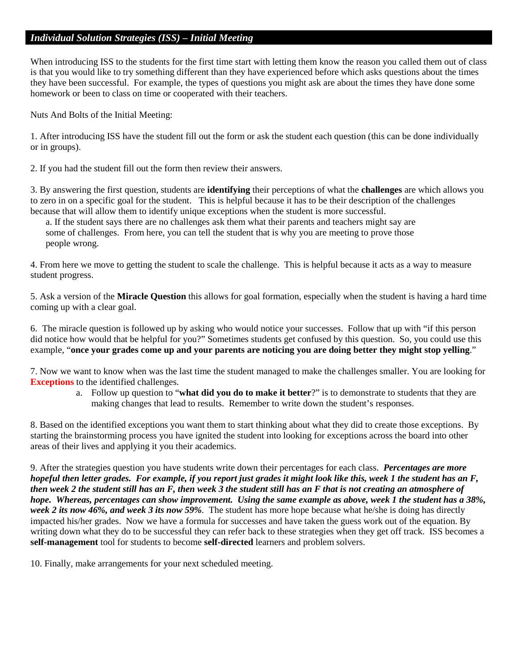### *Individual Solution Strategies (ISS) – Initial Meeting*

When introducing ISS to the students for the first time start with letting them know the reason you called them out of class is that you would like to try something different than they have experienced before which asks questions about the times they have been successful. For example, the types of questions you might ask are about the times they have done some homework or been to class on time or cooperated with their teachers.

Nuts And Bolts of the Initial Meeting:

1. After introducing ISS have the student fill out the form or ask the student each question (this can be done individually or in groups).

2. If you had the student fill out the form then review their answers.

3. By answering the first question, students are **identifying** their perceptions of what the **challenges** are which allows you to zero in on a specific goal for the student. This is helpful because it has to be their description of the challenges because that will allow them to identify unique exceptions when the student is more successful.

a. If the student says there are no challenges ask them what their parents and teachers might say are some of challenges. From here, you can tell the student that is why you are meeting to prove those people wrong.

4. From here we move to getting the student to scale the challenge. This is helpful because it acts as a way to measure student progress.

5. Ask a version of the **Miracle Question** this allows for goal formation, especially when the student is having a hard time coming up with a clear goal.

6. The miracle question is followed up by asking who would notice your successes. Follow that up with "if this person did notice how would that be helpful for you?" Sometimes students get confused by this question. So, you could use this example, "**once your grades come up and your parents are noticing you are doing better they might stop yelling**."

7. Now we want to know when was the last time the student managed to make the challenges smaller. You are looking for **Exceptions** to the identified challenges.

a. Follow up question to "**what did you do to make it better**?" is to demonstrate to students that they are making changes that lead to results. Remember to write down the student's responses.

8. Based on the identified exceptions you want them to start thinking about what they did to create those exceptions. By starting the brainstorming process you have ignited the student into looking for exceptions across the board into other areas of their lives and applying it you their academics.

9. After the strategies question you have students write down their percentages for each class. *Percentages are more hopeful then letter grades. For example, if you report just grades it might look like this, week 1 the student has an F, then week 2 the student still has an F, then week 3 the student still has an F that is not creating an atmosphere of hope. Whereas, percentages can show improvement. Using the same example as above, week 1 the student has a 38%, week 2 its now 46%, and week 3 its now 59%.* The student has more hope because what he/she is doing has directly impacted his/her grades. Now we have a formula for successes and have taken the guess work out of the equation. By writing down what they do to be successful they can refer back to these strategies when they get off track. ISS becomes a **self-management** tool for students to become **self-directed** learners and problem solvers.

10. Finally, make arrangements for your next scheduled meeting.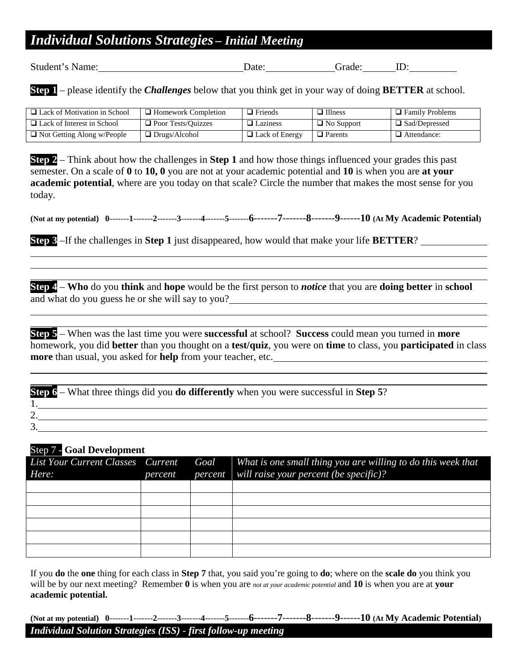## *Individual Solutions Strategies – Initial Meeting*

Student's Name: Date: Date: Grade: Date: Crackers Contains Name: Date: Contains Name: Date: Distance Contains N

**Step 1** – please identify the *Challenges* below that you think get in your way of doing **BETTER** at school.

| $\Box$ Lack of Motivation in School | $\Box$ Homework Completion | $\Box$ Friends        | $\Box$ Illness    | $\Box$ Family Problems |
|-------------------------------------|----------------------------|-----------------------|-------------------|------------------------|
| $\Box$ Lack of Interest in School   | $\Box$ Poor Tests/Ouizzes  | $\Box$ Laziness       | $\Box$ No Support | $\Box$ Sad/Depressed   |
| $\Box$ Not Getting Along w/People   | $\Box$ Drugs/Alcohol       | $\Box$ Lack of Energy | $\Box$ Parents    | $\Box$ Attendance:     |

**Step 2** – Think about how the challenges in **Step 1** and how those things influenced your grades this past semester. On a scale of **0** to **10, 0** you are not at your academic potential and **10** is when you are **at your academic potential**, where are you today on that scale? Circle the number that makes the most sense for you today.

**(Not at my potential) 0**-------**1**-------**2**-------**3**-------**4**-------**5**-------**6**-------**7**-------**8**-------**9**------**10 (At My Academic Potential)**

**Step 3** –If the challenges in **Step 1** just disappeared, how would that make your life **BETTER**?

**Step 4** – **Who** do you **think** and **hope** would be the first person to *notice* that you are **doing better** in **school** and what do you guess he or she will say to you?

**Step 5** – When was the last time you were **successful** at school? **Success** could mean you turned in **more**  homework, you did **better** than you thought on a **test/quiz**, you were on **time** to class, you **participated** in class **more** than usual, you asked for **help** from your teacher, etc.

**Step 6** – What three things did you **do differently** when you were successful in **Step 5**? 1. 2. 3.

### Step 7 - **Goal Development**

| List Your Current Classes Current<br>Here: | percent | Goal What is one small thing you are willing to do this week that<br>percent will raise your percent (be specific)? |
|--------------------------------------------|---------|---------------------------------------------------------------------------------------------------------------------|
|                                            |         |                                                                                                                     |
|                                            |         |                                                                                                                     |
|                                            |         |                                                                                                                     |
|                                            |         |                                                                                                                     |
|                                            |         |                                                                                                                     |
|                                            |         |                                                                                                                     |

If you **do** the **one** thing for each class in **Step 7** that, you said you're going to **do**; where on the **scale do** you think you will be by our next meeting? Remember **0** is when you are *not at your academic potential* and **10** is when you are at **your academic potential.** 

**(Not at my potential) 0**-------**1**-------**2**-------**3**-------**4**-------**5**-------**6**-------**7**-------**8**-------**9**------**10 (At My Academic Potential)**

### *Individual Solution Strategies (ISS) - first follow-up meeting*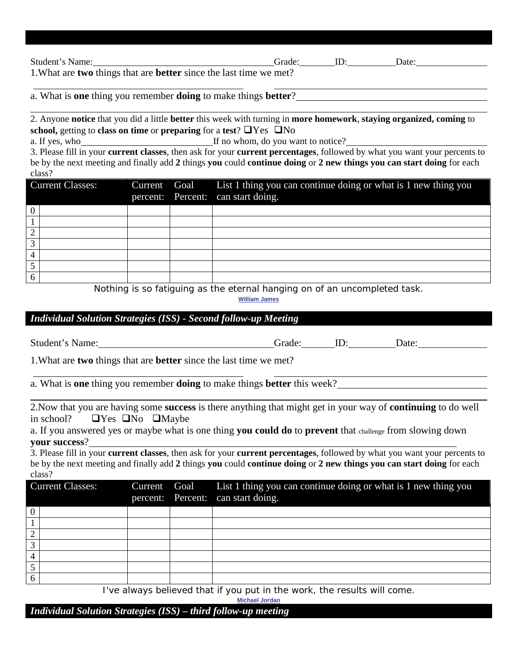| Student's Name:                                                                  | Grade: | Date: |
|----------------------------------------------------------------------------------|--------|-------|
| 1. What are <b>two</b> things that are <b>better</b> since the last time we met? |        |       |

a. What is **one** thing you remember **doing** to make things **better**?

2. Anyone **notice** that you did a little **better** this week with turning in **more homework**, **staying organized, coming** to **school, getting to class on time** or **preparing** for a **test**?  $\Box$  Yes  $\Box$  No

a. If yes, who If no whom, do you want to notice?

3. Please fill in your **current classes**, then ask for your **current percentages**, followed by what you want your percents to be by the next meeting and finally add **2** things **you** could **continue doing** or **2 new things you can start doing** for each class?

| <b>Current Classes:</b> |  | Current Goal List 1 thing you can continue doing or what is 1 new thing you<br>percent: Percent: can start doing. |
|-------------------------|--|-------------------------------------------------------------------------------------------------------------------|
| $\boldsymbol{0}$        |  |                                                                                                                   |
|                         |  |                                                                                                                   |
| ⌒<br>∠                  |  |                                                                                                                   |
| ⌒                       |  |                                                                                                                   |
| 4                       |  |                                                                                                                   |
|                         |  |                                                                                                                   |
| 6                       |  |                                                                                                                   |

*[Nothing is so fatiguing as the eternal hanging on of an uncompleted task.](http://www.brainyquote.com/quotes/quotes/w/williamjam157180.html)*

**[William James](http://www.brainyquote.com/quotes/quotes/w/williamjam157180.html)**

### *Individual Solution Strategies (ISS) - Second follow-up Meeting*

Student's Name: Grade: Grade: ID: Date: Date:

1.What are **two** things that are **better** since the last time we met?

a. What is **one** thing you remember **doing** to make things **better** this week?

2.Now that you are having some **success** is there anything that might get in your way of **continuing** to do well in school?  $\Box$  Yes  $\Box$  No  $\Box$  Maybe

a. If you answered yes or maybe what is one thing **you could do** to **prevent** that challenge from slowing down **your success**?

3. Please fill in your **current classes**, then ask for your **current percentages**, followed by what you want your percents to be by the next meeting and finally add **2** things **you** could **continue doing** or **2 new things you can start doing** for each class?

| <b>Current Classes:</b> |  | Current Goal List 1 thing you can continue doing or what is 1 new thing you<br>percent: Percent: can start doing. |
|-------------------------|--|-------------------------------------------------------------------------------------------------------------------|
|                         |  |                                                                                                                   |
|                         |  |                                                                                                                   |
|                         |  |                                                                                                                   |
|                         |  |                                                                                                                   |
|                         |  |                                                                                                                   |
|                         |  |                                                                                                                   |
|                         |  |                                                                                                                   |

*[I've always believed that if you put in the work, the results will come.](http://www.brainyquote.com/quotes/quotes/m/michaeljor384164.html)*

**[Michael Jordan](http://www.brainyquote.com/quotes/quotes/m/michaeljor384164.html)**

*Individual Solution Strategies (ISS) – third follow-up meeting*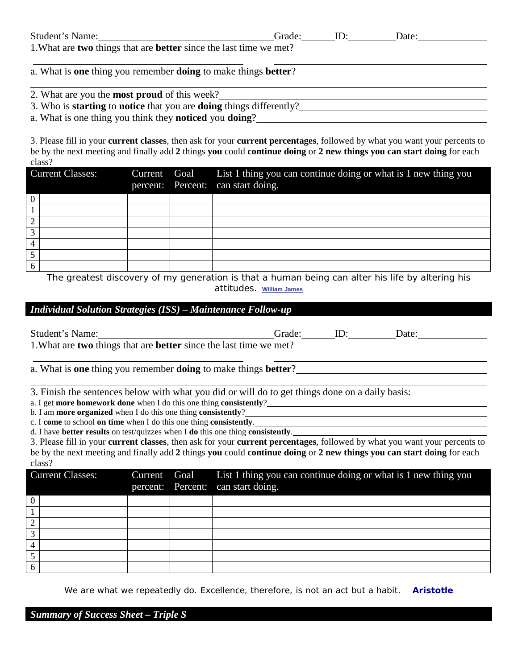| Student's Name:                                                                  | Grade: | Date: |  |
|----------------------------------------------------------------------------------|--------|-------|--|
| 1. What are <b>two</b> things that are <b>better</b> since the last time we met? |        |       |  |
|                                                                                  |        |       |  |
| a. What is one thing you remember doing to make things better?                   |        |       |  |

- 2. What are you the **most proud** of this week?
- 3. Who is **starting** to **notice** that you are **doing** things differently?
- a. What is one thing you think they **noticed** you **doing**?

3. Please fill in your **current classes**, then ask for your **current percentages**, followed by what you want your percents to be by the next meeting and finally add **2** things **you** could **continue doing** or **2 new things you can start doing** for each class?

| <b>Current Classes:</b> |  | Current Goal List 1 thing you can continue doing or what is 1 new thing you<br>percent: Percent: can start doing. |
|-------------------------|--|-------------------------------------------------------------------------------------------------------------------|
|                         |  |                                                                                                                   |
|                         |  |                                                                                                                   |
|                         |  |                                                                                                                   |
|                         |  |                                                                                                                   |
|                         |  |                                                                                                                   |
|                         |  |                                                                                                                   |
|                         |  |                                                                                                                   |

*[The greatest discovery of my generation is that a human being can alter his life by altering his](http://www.brainyquote.com/quotes/quotes/w/williamjam104186.html)  [attitudes.](http://www.brainyquote.com/quotes/quotes/w/williamjam104186.html)* **[William James](http://www.brainyquote.com/quotes/quotes/w/williamjam104186.html)**

### *Individual Solution Strategies (ISS) – Maintenance Follow-up*

| Student's Name:         |                                                                    |                   |                                                                                                 |  | Grade: ID: Date:                                                                                                                          |  |  |  |
|-------------------------|--------------------------------------------------------------------|-------------------|-------------------------------------------------------------------------------------------------|--|-------------------------------------------------------------------------------------------------------------------------------------------|--|--|--|
|                         | 1. What are two things that are better since the last time we met? |                   |                                                                                                 |  |                                                                                                                                           |  |  |  |
|                         |                                                                    |                   |                                                                                                 |  |                                                                                                                                           |  |  |  |
|                         |                                                                    |                   | a. What is one thing you remember doing to make things better?                                  |  |                                                                                                                                           |  |  |  |
|                         |                                                                    |                   |                                                                                                 |  |                                                                                                                                           |  |  |  |
|                         |                                                                    |                   | 3. Finish the sentences below with what you did or will do to get things done on a daily basis: |  |                                                                                                                                           |  |  |  |
|                         |                                                                    |                   | a. I get <b>more homework done</b> when I do this one thing <b>consistently</b> ?               |  |                                                                                                                                           |  |  |  |
|                         |                                                                    |                   | b. I am <b>more organized</b> when I do this one thing <b>consistently</b> ?                    |  |                                                                                                                                           |  |  |  |
|                         |                                                                    |                   | c. I come to school on time when I do this one thing consistently.                              |  |                                                                                                                                           |  |  |  |
|                         |                                                                    |                   | d. I have better results on test/quizzes when I do this one thing consistently.                 |  |                                                                                                                                           |  |  |  |
|                         |                                                                    |                   |                                                                                                 |  | 3. Please fill in your <b>current classes</b> , then ask for your <b>current percentages</b> , followed by what you want your percents to |  |  |  |
|                         |                                                                    |                   |                                                                                                 |  | be by the next meeting and finally add 2 things you could continue doing or 2 new things you can start doing for each                     |  |  |  |
| class?                  |                                                                    |                   |                                                                                                 |  |                                                                                                                                           |  |  |  |
| <b>Current Classes:</b> | Current                                                            | Goal              | List 1 thing you can continue doing or what is 1 new thing you                                  |  |                                                                                                                                           |  |  |  |
|                         |                                                                    | percent: Percent: | can start doing.                                                                                |  |                                                                                                                                           |  |  |  |
|                         |                                                                    |                   |                                                                                                 |  |                                                                                                                                           |  |  |  |
|                         |                                                                    |                   |                                                                                                 |  |                                                                                                                                           |  |  |  |
|                         |                                                                    |                   |                                                                                                 |  |                                                                                                                                           |  |  |  |
| 3                       |                                                                    |                   |                                                                                                 |  |                                                                                                                                           |  |  |  |

We are what we repeatedly do. Excellence, therefore, is not an act but a habit. **Aristotle**

*Summary of Success Sheet – Triple S*

4 5 6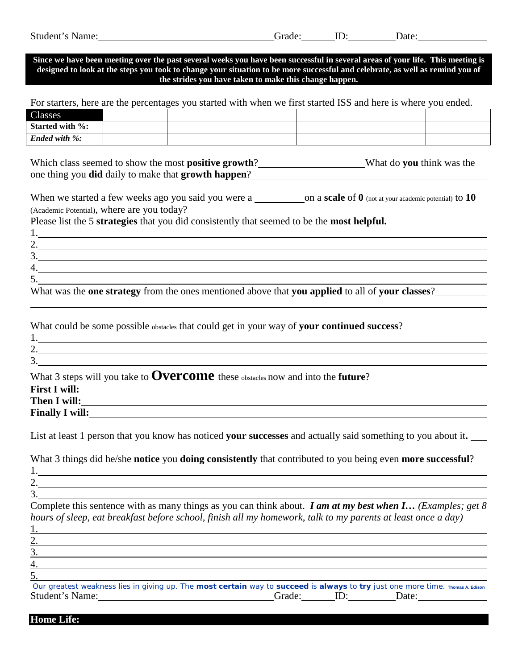| Student'<br>Name | аае | $\sim$<br>w | Jate |
|------------------|-----|-------------|------|
|                  |     |             |      |

**Since we have been meeting over the past several weeks you have been successful in several areas of your life. This meeting is designed to look at the steps you took to change your situation to be more successful and celebrate, as well as remind you of the strides you have taken to make this change happen.**

For starters, here are the percentages you started with when we first started ISS and here is where you ended.

| Classes                |  |  |  |
|------------------------|--|--|--|
| <b>Started with %:</b> |  |  |  |
| <b>Ended with %:</b>   |  |  |  |

Which class seemed to show the most **positive growth**? What do **you** think was the one thing you **did** daily to make that **growth happen**?

| When we started a few weeks ago you said you were a | _on a scale of $0$ (not at your academic potential) to $10$ |
|-----------------------------------------------------|-------------------------------------------------------------|
| (Academic Potential), where are you today?          |                                                             |

Please list the 5 **strategies** that you did consistently that seemed to be the **most helpful.**

| 4.                                                                                               |  |
|--------------------------------------------------------------------------------------------------|--|
|                                                                                                  |  |
| What was the one strategy from the ones mentioned above that you applied to all of your classes? |  |

What could be some possible obstacles that could get in your way of **your continued success**?

| What 3 steps will you take to <b>Overcome</b> these obstacles now and into the <b>future</b> ? |
|------------------------------------------------------------------------------------------------|
| <b>First I will:</b>                                                                           |
| Then I will:                                                                                   |

**Finally I will:**

List at least 1 person that you know has noticed **your successes** and actually said something to you about it**.**

What 3 things did he/she **notice** you **doing consistently** that contributed to you being even **more successful**? 1. 2.

3.

Complete this sentence with as many things as you can think about. *I am at my best when I… (Examples; get 8 hours of sleep, eat breakfast before school, finish all my homework, talk to my parents at least once a day)* 

[Our greatest weakness lies in giving up. The](http://www.brainyquote.com/quotes/quotes/t/thomasaed149049.html) **most certain** way to **succeed** is **always** to **try** just one more time. **[Thomas A. Edison](http://www.brainyquote.com/quotes/authors/t/thomas_a_edison.html)** Student's Name: Grade: Grade: D: Date: Date:

**Home Life:**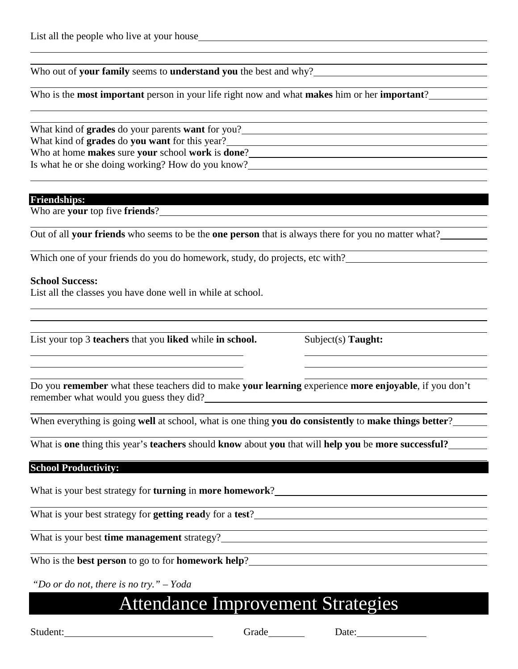Who out of **your family** seems to **understand you** the best and why?

Who is the **most important** person in your life right now and what **makes** him or her **important**?

What kind of **grades** do your parents **want** for you? What kind of **grades** do **you want** for this year? Who at home **makes** sure **your** school **work** is **done**? Is what he or she doing working? How do you know?

#### **Friendships:**

Who are **your** top five **friends**?

Out of all **your friends** who seems to be the **one person** that is always there for you no matter what?

Which one of your friends do you do homework, study, do projects, etc with?

### **School Success:**

List all the classes you have done well in while at school.

List your top 3 **teachers** that you **liked** while **in school.** Subject(s) **Taught:** 

Do you **remember** what these teachers did to make **your learning** experience **more enjoyable**, if you don't remember what would you guess they did?

When everything is going **well** at school, what is one thing **you do consistently** to **make things better**?

What is **one** thing this year's **teachers** should **know** about **you** that will **help you** be **more successful?**

### **School Productivity:**

What is your best strategy for **turning** in **more homework**?

What is your best strategy for **getting read**y for a **test**?

What is your best **time management** strategy?

Who is the **best person** to go to for **homework help**?

*"Do or do not, there is no try." – Yoda*

## Attendance Improvement Strategies

Student: Grade Date: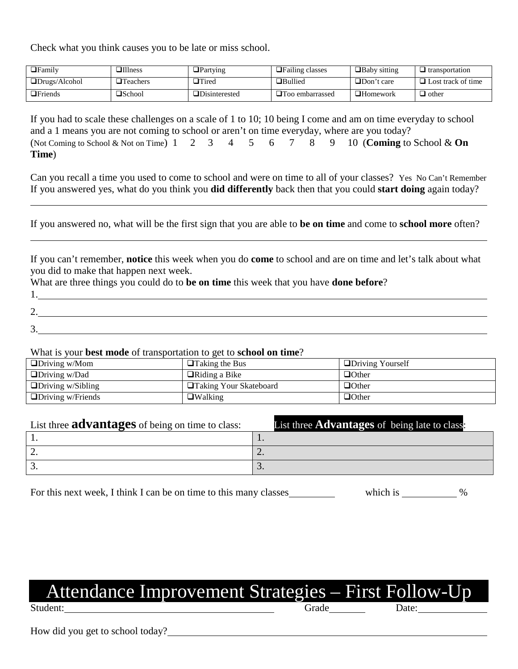Check what you think causes you to be late or miss school.

| ⊒Familv                       | $\Box$ Illness   | $\Box$ Partying       | $\Box$ Failing classes | $\Box$ Baby sitting | $\Box$ transportation     |
|-------------------------------|------------------|-----------------------|------------------------|---------------------|---------------------------|
| $\Box$ Drugs/Alcohol          | $\Box$ Teachers  | $\Box$ Tired          | $\Box$ Bullied         | $\Box$ Don't care   | $\Box$ Lost track of time |
| $\mathbf{\mathsf{Tr} }$ iends | $\square$ School | <b>IDisinterested</b> | $\Box$ Too embarrassed | $\Box$ Homework     | $\Box$ other              |

If you had to scale these challenges on a scale of 1 to 10; 10 being I come and am on time everyday to school and a 1 means you are not coming to school or aren't on time everyday, where are you today? (Not Coming to School & Not on Time) 1 2 3 4 5 6 7 8 9 10 (**Coming** to School & **On Time**)

Can you recall a time you used to come to school and were on time to all of your classes? Yes No Can't Remember If you answered yes, what do you think you **did differently** back then that you could **start doing** again today?

If you answered no, what will be the first sign that you are able to **be on time** and come to **school more** often?

If you can't remember, **notice** this week when you do **come** to school and are on time and let's talk about what you did to make that happen next week.

What are three things you could do to **be on time** this week that you have **done before**?

| <u>.</u> |  |  |  |
|----------|--|--|--|
|          |  |  |  |

### What is your **best mode** of transportation to get to **school on time**?

| $\Box$ Driving w/Mom     | $\Box$ Taking the Bus    | <b>ODriving Yourself</b> |
|--------------------------|--------------------------|--------------------------|
| $\Box$ Driving w/Dad     | $\Box$ Riding a Bike     | $\Box$ Other             |
| $\Box$ Driving w/Sibling | □ Taking Your Skateboard | $\Box$ Other             |
| $\Box$ Driving w/Friends | $\Box$ Walking           | $\Box$ Other             |

| List three <b>advantages</b> of being on time to class: | List three <b>Advantages</b> of being late to class: |
|---------------------------------------------------------|------------------------------------------------------|
|                                                         | . .                                                  |
|                                                         | $\overline{\phantom{a}}$ .                           |
|                                                         | J.                                                   |

For this next week, I think I can be on time to this many classes which is  $\%$ 

## Attendance Improvement Strategies – First Follow-Up Student: Date: Date:

How did you get to school today?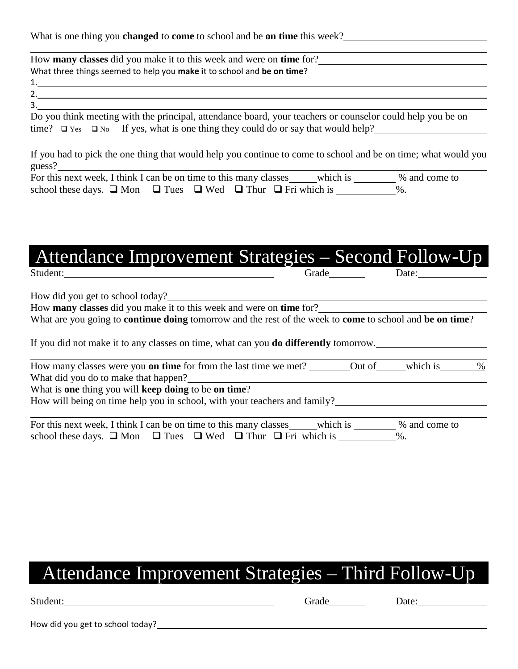What is one thing you **changed** to **come** to school and be **on time** this week?

| How <b>many classes</b> did you make it to this week and were on <b>time</b> for?                          |  |
|------------------------------------------------------------------------------------------------------------|--|
| What three things seemed to help you make it to school and be on time?                                     |  |
|                                                                                                            |  |
|                                                                                                            |  |
|                                                                                                            |  |
| Do you think meeting with the principal, attendance board, your teachers or counselor could help you be on |  |

|  |  |  | time? $\square$ Yes $\square$ No If yes, what is one thing they could do or say that would help? |  |  |  |
|--|--|--|--------------------------------------------------------------------------------------------------|--|--|--|

If you had to pick the one thing that would help you continue to come to school and be on time; what would you guess?

| For this next week, I think I can be on time to this many classes                    |  | which is |        | % and come to |
|--------------------------------------------------------------------------------------|--|----------|--------|---------------|
| school these days. $\Box$ Mon $\Box$ Tues $\Box$ Wed $\Box$ Thur $\Box$ Fri which is |  |          | $\%$ . |               |

## Attendance Improvement Strategies – Second Follow-Up Student: Grade Date:

How did you get to school today?

How **many classes** did you make it to this week and were on **time** for?

What are you going to **continue doing** tomorrow and the rest of the week to **come** to school and **be on time**?

If you did not make it to any classes on time, what can you **do differently** tomorrow.

|         | How many classes were you <b>on time</b> for from the last time we met?                                                                                                                                                                                                                                                                                                                                                |  |  |  |  |  | Out of | which is | $\%$ |
|---------|------------------------------------------------------------------------------------------------------------------------------------------------------------------------------------------------------------------------------------------------------------------------------------------------------------------------------------------------------------------------------------------------------------------------|--|--|--|--|--|--------|----------|------|
|         | What did you do to make that happen?                                                                                                                                                                                                                                                                                                                                                                                   |  |  |  |  |  |        |          |      |
|         | What is one thing you will keep doing to be on time?                                                                                                                                                                                                                                                                                                                                                                   |  |  |  |  |  |        |          |      |
| $T$ $T$ | $\mathbf{1} \mathbf{1} \mathbf{1} \mathbf{1} \mathbf{1} \mathbf{1} \mathbf{1} \mathbf{1} \mathbf{1} \mathbf{1} \mathbf{1} \mathbf{1} \mathbf{1} \mathbf{1} \mathbf{1} \mathbf{1} \mathbf{1} \mathbf{1} \mathbf{1} \mathbf{1} \mathbf{1} \mathbf{1} \mathbf{1} \mathbf{1} \mathbf{1} \mathbf{1} \mathbf{1} \mathbf{1} \mathbf{1} \mathbf{1} \mathbf{1} \mathbf{1} \mathbf{1} \mathbf{1} \mathbf{1} \mathbf{1} \mathbf{$ |  |  |  |  |  |        |          |      |

How will being on time help you in school, with your teachers and family?

| For this next week, I think I can be on time to this many classes                    |  |  | which is | % and come to |  |
|--------------------------------------------------------------------------------------|--|--|----------|---------------|--|
| school these days. $\Box$ Mon $\Box$ Tues $\Box$ Wed $\Box$ Thur $\Box$ Fri which is |  |  |          | $\%$ .        |  |

# Attendance Improvement Strategies – Third Follow-Up

| Student: |  |
|----------|--|
|----------|--|

Student: Contact Contact Contact Contact Contact Contact Contact Contact Contact Contact Contact Contact Contact Contact Contact Contact Contact Contact Contact Contact Contact Contact Contact Contact Contact Contact Conta

How did you get to school today?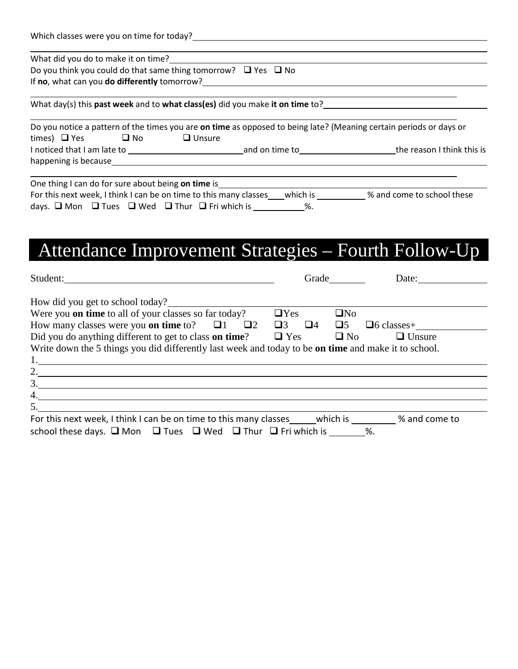| Which classes were you on time for today?_ |  |  |
|--------------------------------------------|--|--|
|--------------------------------------------|--|--|

What did you do to make it on time?

Do you think you could do that same thing tomorrow?  $\Box$  Yes  $\Box$  No If **no**, what can you **do differently** tomorrow?

What day(s) this **past week** and to **what class(es)** did you make **it on time** to?

|                             |      |                  |                | Do you notice a pattern of the times you are on time as opposed to being late? (Meaning certain periods or days or |
|-----------------------------|------|------------------|----------------|--------------------------------------------------------------------------------------------------------------------|
| times) $\Box$ Yes           | ⊔ No | $\square$ Unsure |                |                                                                                                                    |
| I noticed that I am late to |      |                  | and on time to | the reason I think this is                                                                                         |
| happening is because        |      |                  |                |                                                                                                                    |

| One thing I can do for sure about being on time is                      |                                                                   |          |                            |
|-------------------------------------------------------------------------|-------------------------------------------------------------------|----------|----------------------------|
|                                                                         | For this next week, I think I can be on time to this many classes | which is | % and come to school these |
| days. $\Box$ Mon $\Box$ Tues $\Box$ Wed $\Box$ Thur $\Box$ Fri which is |                                                                   | %.       |                            |

# Attendance Improvement Strategies – Fourth Follow-Up

| Student:                                                                                             |                      | Grade<br>Date:                       |
|------------------------------------------------------------------------------------------------------|----------------------|--------------------------------------|
| How did you get to school today?                                                                     |                      |                                      |
| Were you <b>on time</b> to all of your classes so far today?                                         | $\Box$ Yes           | $\square$ No                         |
| How many classes were you <b>on time</b> to? $\Box$ 1 $\Box$ 2                                       | $\Box$ 3<br>$\Box$ 4 | $\Box 5$<br>$\Box 6$ classes+        |
| Did you do anything different to get to class on time?                                               | $\Box$ Yes           | $\Box$ No<br>$\Box$ Unsure           |
| Write down the 5 things you did differently last week and today to be on time and make it to school. |                      |                                      |
| 1.                                                                                                   |                      |                                      |
| 2.                                                                                                   |                      |                                      |
| 3.                                                                                                   |                      |                                      |
| 4.                                                                                                   |                      |                                      |
| 5.                                                                                                   |                      |                                      |
| Ear this novt wook I think I can be an time to this many classes                                     |                      | which is<br>$\frac{1}{2}$ and compto |

| For this next week, I think I can be on time to this many classes                                   |  |  | which is | % and come to |
|-----------------------------------------------------------------------------------------------------|--|--|----------|---------------|
| school these days. $\square$ Mon $\square$ Tues $\square$ Wed $\square$ Thur $\square$ Fri which is |  |  |          |               |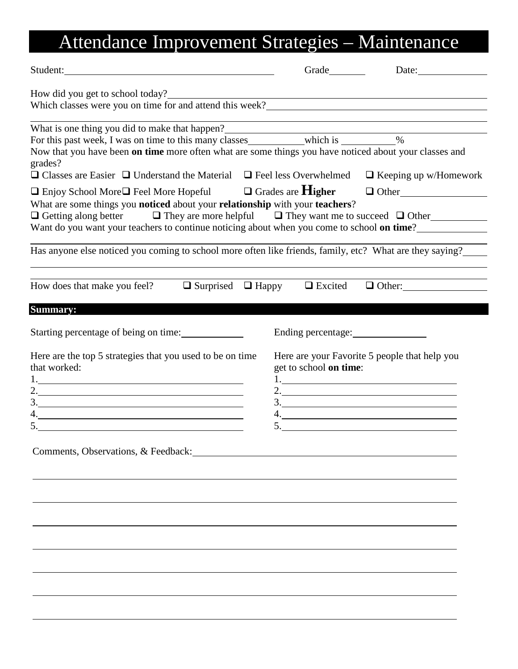# Attendance Improvement Strategies – Maintenance

| Student:                                                                                                                                                                                                                                                                                                                                                                                                                                                                                                   |                                              | Date:                                                                                                |
|------------------------------------------------------------------------------------------------------------------------------------------------------------------------------------------------------------------------------------------------------------------------------------------------------------------------------------------------------------------------------------------------------------------------------------------------------------------------------------------------------------|----------------------------------------------|------------------------------------------------------------------------------------------------------|
|                                                                                                                                                                                                                                                                                                                                                                                                                                                                                                            |                                              |                                                                                                      |
| Now that you have been on time more often what are some things you have noticed about your classes and<br>grades?                                                                                                                                                                                                                                                                                                                                                                                          |                                              |                                                                                                      |
| $\Box$ Classes are Easier $\Box$ Understand the Material $\Box$ Feel less Overwhelmed $\Box$ Keeping up w/Homework<br>$\Box$ Enjoy School More $\Box$ Feel More Hopeful $\Box$ Grades are <b>Higher</b> $\Box$ Other<br>What are some things you noticed about your relationship with your teachers?<br>$\Box$ Getting along better $\Box$ They are more helpful $\Box$ They want me to succeed $\Box$ Other<br>Want do you want your teachers to continue noticing about when you come to school on time? |                                              |                                                                                                      |
| Has anyone else noticed you coming to school more often like friends, family, etc? What are they saying?                                                                                                                                                                                                                                                                                                                                                                                                   |                                              |                                                                                                      |
| How does that make you feel? $\Box$ Surprised $\Box$ Happy $\Box$ Excited $\Box$ Other:                                                                                                                                                                                                                                                                                                                                                                                                                    |                                              |                                                                                                      |
| <b>Summary:</b><br>Starting percentage of being on time:<br>Here are the top 5 strategies that you used to be on time<br>that worked:<br>2. $\overline{\phantom{a}}$<br>3.<br>$5.$ $\overline{\phantom{a}}$<br>Comments, Observations, & Feedback: Marian March 2014 (1997)                                                                                                                                                                                                                                | Ending percentage:<br>get to school on time: | Here are your Favorite 5 people that help you<br>1.<br>2. $\overline{\phantom{a}}$<br>3.<br>4.<br>5. |
|                                                                                                                                                                                                                                                                                                                                                                                                                                                                                                            |                                              |                                                                                                      |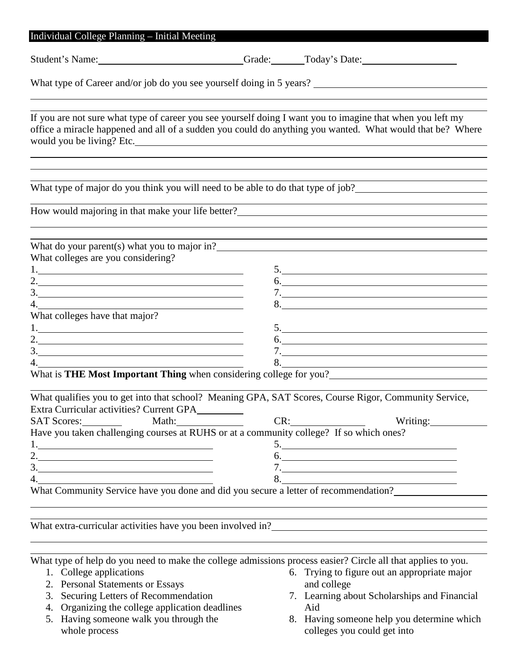|                                                                                                                                                                                                |     | Student's Name: Crade: Crade: Today's Date:                                                                                                                                                                                                                   |
|------------------------------------------------------------------------------------------------------------------------------------------------------------------------------------------------|-----|---------------------------------------------------------------------------------------------------------------------------------------------------------------------------------------------------------------------------------------------------------------|
|                                                                                                                                                                                                |     | What type of Career and/or job do you see yourself doing in 5 years?                                                                                                                                                                                          |
|                                                                                                                                                                                                |     | If you are not sure what type of career you see yourself doing I want you to imagine that when you left my<br>office a miracle happened and all of a sudden you could do anything you wanted. What would that be? Where                                       |
|                                                                                                                                                                                                |     |                                                                                                                                                                                                                                                               |
|                                                                                                                                                                                                |     | How would majoring in that make your life better?                                                                                                                                                                                                             |
| What do your parent(s) what you to major in?<br>What colleges are you considering?<br>2. $\overline{\phantom{a}}$<br>3.<br>What colleges have that major?<br>2. $\overline{\phantom{a}}$<br>3. |     | 5.<br>6.<br>5.<br>6.<br>What is THE Most Important Thing when considering college for you?<br><u>Letting</u> the value of the state of the state of the state of the state of the state of the state of the state of the state of the state of the state of t |
| Extra Curricular activities? Current GPA<br><b>SAT Scores:</b><br>Math:<br>Have you taken challenging courses at RUHS or at a community college? If so which ones?<br>1.<br>2.<br>3.           | CR: | What qualifies you to get into that school? Meaning GPA, SAT Scores, Course Rigor, Community Service,<br>Writing:<br>6.<br>7.                                                                                                                                 |

What type of help do you need to make the college admissions process easier? Circle all that applies to you.

- 1. College applications
- 2. Personal Statements or Essays
- 3. Securing Letters of Recommendation
- 4. Organizing the college application deadlines
- 5. Having someone walk you through the whole process
- 6. Trying to figure out an appropriate major and college
- 7. Learning about Scholarships and Financial Aid
- 8. Having someone help you determine which colleges you could get into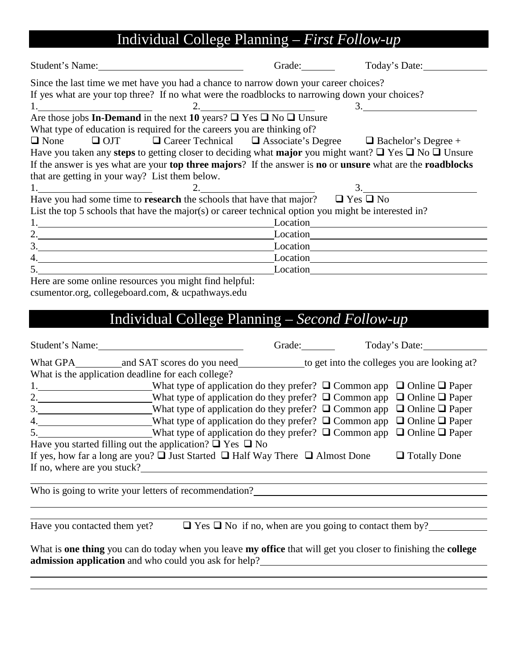# Individual College Planning – *First Follow-up*

| Student's Name:                                                                                                      | Grade:                | Today's Date:                                       |
|----------------------------------------------------------------------------------------------------------------------|-----------------------|-----------------------------------------------------|
| Since the last time we met have you had a chance to narrow down your career choices?                                 |                       |                                                     |
| If yes what are your top three? If no what were the roadblocks to narrowing down your choices?                       |                       |                                                     |
|                                                                                                                      | 2.                    | 3.                                                  |
| Are those jobs <b>In-Demand</b> in the next <b>10</b> years? $\Box$ Yes $\Box$ No $\Box$ Unsure                      |                       |                                                     |
| What type of education is required for the careers you are thinking of?                                              |                       |                                                     |
| $\Box$ OJT $\Box$ Career Technical $\Box$ Associate's Degree $\Box$ Bachelor's Degree +<br>$\Box$ None               |                       |                                                     |
| Have you taken any steps to getting closer to deciding what major you might want? $\Box$ Yes $\Box$ No $\Box$ Unsure |                       |                                                     |
| If the answer is yes what are your top three majors? If the answer is no or unsure what are the roadblocks           |                       |                                                     |
| that are getting in your way? List them below.                                                                       |                       |                                                     |
|                                                                                                                      | 2. $\qquad \qquad 3.$ |                                                     |
| Have you had some time to <b>research</b> the schools that have that major? $\Box$ Yes $\Box$ No                     |                       |                                                     |
| List the top 5 schools that have the major(s) or career technical option you might be interested in?                 |                       |                                                     |
| 1. Location Location                                                                                                 |                       |                                                     |
| 2. $\overline{\phantom{a}}$                                                                                          |                       |                                                     |
| 3.                                                                                                                   |                       | Location <b>Exercise 2</b> Location <b>CONSUMER</b> |
| 4.                                                                                                                   |                       | Location<br><u>Location</u>                         |
|                                                                                                                      |                       |                                                     |
| Here are some online resources you might find helpful:                                                               |                       |                                                     |
| csumentor.org, collegeboard.com, & ucpathways.edu                                                                    |                       |                                                     |
|                                                                                                                      |                       |                                                     |
| Individual College Planning – Second Follow-up                                                                       |                       |                                                     |
|                                                                                                                      |                       |                                                     |

|                              | Student's Name:                                                                                                                                                                                                                                                                                                                                               |  | Today's Date:       |
|------------------------------|---------------------------------------------------------------------------------------------------------------------------------------------------------------------------------------------------------------------------------------------------------------------------------------------------------------------------------------------------------------|--|---------------------|
|                              |                                                                                                                                                                                                                                                                                                                                                               |  |                     |
|                              | What is the application deadline for each college?                                                                                                                                                                                                                                                                                                            |  |                     |
|                              | 1. What type of application do they prefer? $\Box$ Common app $\Box$ Online $\Box$ Paper                                                                                                                                                                                                                                                                      |  |                     |
|                              | 2. What type of application do they prefer? $\Box$ Common app $\Box$ Online $\Box$ Paper                                                                                                                                                                                                                                                                      |  |                     |
|                              | 3. What type of application do they prefer? $\Box$ Common app $\Box$ Online $\Box$ Paper                                                                                                                                                                                                                                                                      |  |                     |
|                              | 4. What type of application do they prefer? $\Box$ Common app $\Box$ Online $\Box$ Paper                                                                                                                                                                                                                                                                      |  |                     |
|                              | 5. What type of application do they prefer? $\Box$ Common app $\Box$ Online $\Box$ Paper                                                                                                                                                                                                                                                                      |  |                     |
|                              | Have you started filling out the application? $\Box$ Yes $\Box$ No                                                                                                                                                                                                                                                                                            |  |                     |
|                              | If yes, how far a long are you? $\Box$ Just Started $\Box$ Half Way There $\Box$ Almost Done                                                                                                                                                                                                                                                                  |  | $\Box$ Totally Done |
| If no, where are you stuck?  | <u> 1980 - Andrea Andrew Maria (h. 1980).</u>                                                                                                                                                                                                                                                                                                                 |  |                     |
|                              | Who is going to write your letters of recommendation?                                                                                                                                                                                                                                                                                                         |  |                     |
| Have you contacted them yet? | $\Box$ Yes $\Box$ No if no, when are you going to contact them by?                                                                                                                                                                                                                                                                                            |  |                     |
|                              | What is one thing you can do today when you leave my office that will get you closer to finishing the college<br><b>admission application</b> and who could you ask for help?<br><u>All the set of the set of the set of the set of the set of the set of the set of the set of the set of the set of the set of the set of the set of the set of the set</u> |  |                     |
|                              |                                                                                                                                                                                                                                                                                                                                                               |  |                     |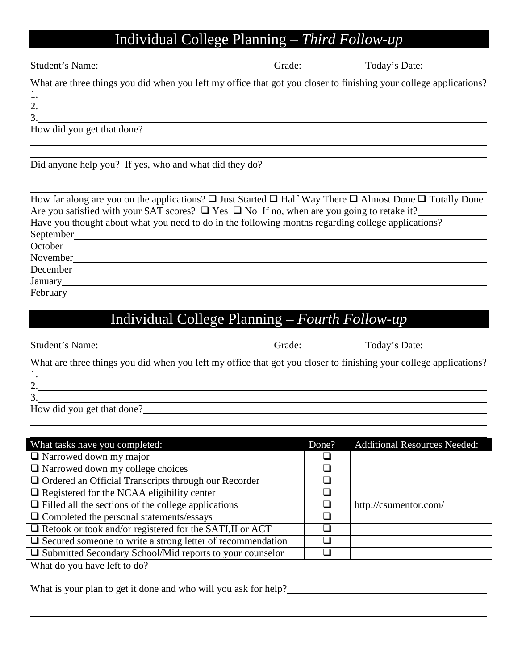## Individual College Planning – *Third Follow-up*

Student's Name: Grade: Grade: Today's Date:

What are three things you did when you left my office that got you closer to finishing your college applications? 1.

2.

3.

How did you get that done?

Did anyone help you? If yes, who and what did they do?

| How far along are you on the applications? $\Box$ Just Started $\Box$ Half Way There $\Box$ Almost Done $\Box$ Totally Done |
|-----------------------------------------------------------------------------------------------------------------------------|
| Are you satisfied with your SAT scores? $\Box$ Yes $\Box$ No If no, when are you going to retake it?                        |
| Have you thought about what you need to do in the following months regarding college applications?                          |
| September                                                                                                                   |
| October                                                                                                                     |
| November                                                                                                                    |
| December                                                                                                                    |
| January                                                                                                                     |
| February                                                                                                                    |

## Individual College Planning – *Fourth Follow-up*

| Student's Name: |  |
|-----------------|--|
|                 |  |

Student's Name of Grade: Today's Date:

What are three things you did when you left my office that got you closer to finishing your college applications?

1.

2.

3.

How did you get that done?

| What tasks have you completed:                                    | Done?                       | <b>Additional Resources Needed:</b> |
|-------------------------------------------------------------------|-----------------------------|-------------------------------------|
| $\Box$ Narrowed down my major                                     |                             |                                     |
| $\Box$ Narrowed down my college choices                           | ⊔                           |                                     |
| $\Box$ Ordered an Official Transcripts through our Recorder       |                             |                                     |
| $\Box$ Registered for the NCAA eligibility center                 | $\mathcal{L}_{\mathcal{A}}$ |                                     |
| $\Box$ Filled all the sections of the college applications        |                             | http://csumentor.com/               |
| $\Box$ Completed the personal statements/essays                   |                             |                                     |
| $\Box$ Retook or took and/or registered for the SATI, II or ACT   |                             |                                     |
| $\Box$ Secured someone to write a strong letter of recommendation |                             |                                     |
| $\Box$ Submitted Secondary School/Mid reports to your counselor   |                             |                                     |
| What do you have left to do?                                      |                             |                                     |

What is your plan to get it done and who will you ask for help?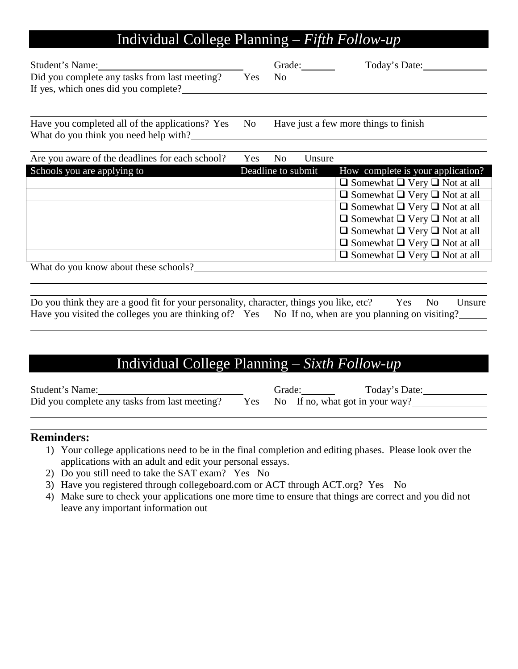## Individual College Planning – *Fifth Follow-up*

| Student's Name:                                                                       |      | Grade: | Today's Date: |
|---------------------------------------------------------------------------------------|------|--------|---------------|
| Did you complete any tasks from last meeting?<br>If yes, which ones did you complete? | Yes. | No.    |               |
|                                                                                       |      |        |               |

Have you completed all of the applications? Yes No Have just a few more things to finish What do you think you need help with?

| Are you aware of the deadlines for each school? | Yes                | N <sub>o</sub> | Unsure |                                               |
|-------------------------------------------------|--------------------|----------------|--------|-----------------------------------------------|
| Schools you are applying to                     | Deadline to submit |                |        | How complete is your application?             |
|                                                 |                    |                |        | $\Box$ Somewhat $\Box$ Very $\Box$ Not at all |
|                                                 |                    |                |        | $\Box$ Somewhat $\Box$ Very $\Box$ Not at all |
|                                                 |                    |                |        | $\Box$ Somewhat $\Box$ Very $\Box$ Not at all |
|                                                 |                    |                |        | $\Box$ Somewhat $\Box$ Very $\Box$ Not at all |
|                                                 |                    |                |        | $\Box$ Somewhat $\Box$ Very $\Box$ Not at all |
|                                                 |                    |                |        | $\Box$ Somewhat $\Box$ Very $\Box$ Not at all |
|                                                 |                    |                |        | $\Box$ Somewhat $\Box$ Very $\Box$ Not at all |
| What do rear hyper about those solves $\Omega$  |                    |                |        |                                               |

What do you know about these schools?

| Do you think they are a good fit for your personality, character, things you like, etc?             |  |  |  | Yes No Unsure |
|-----------------------------------------------------------------------------------------------------|--|--|--|---------------|
| Have you visited the colleges you are thinking of? Yes No If no, when are you planning on visiting? |  |  |  |               |

## Individual College Planning – *Sixth Follow-up*

| Student's Name:                               | Grade: | Today's Date:                       |
|-----------------------------------------------|--------|-------------------------------------|
| Did you complete any tasks from last meeting? |        | Yes No If no, what got in your way? |

### **Reminders:**

- 1) Your college applications need to be in the final completion and editing phases. Please look over the applications with an adult and edit your personal essays.
- 2) Do you still need to take the SAT exam? Yes No
- 3) Have you registered through collegeboard.com or ACT through ACT.org? Yes No
- 4) Make sure to check your applications one more time to ensure that things are correct and you did not leave any important information out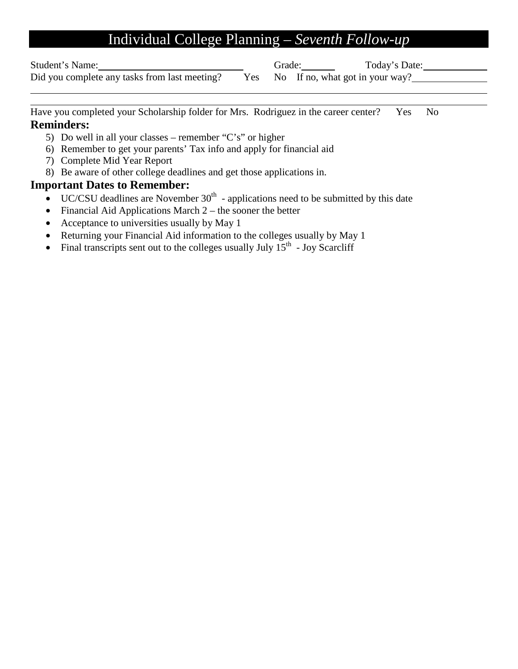## Individual College Planning – *Seventh Follow-up*

Student's Name: Grade: Today's Date: Today's Date: Today's Date: Today's Date: Did you complete any tasks from last meeting? Yes No If no, what got in your way? Did you complete any tasks from last meeting? Yes

Have you completed your Scholarship folder for Mrs. Rodriguez in the career center? Yes No **Reminders:**

- 5) Do well in all your classes remember "C's" or higher
- 6) Remember to get your parents' Tax info and apply for financial aid
- 7) Complete Mid Year Report
- 8) Be aware of other college deadlines and get those applications in.

### **Important Dates to Remember:**

- $\bullet$  UC/CSU deadlines are November 30<sup>th</sup> applications need to be submitted by this date
- Financial Aid Applications March  $2 -$  the sooner the better
- Acceptance to universities usually by May 1
- Returning your Financial Aid information to the colleges usually by May 1
- Final transcripts sent out to the colleges usually July  $15<sup>th</sup>$  Joy Scarcliff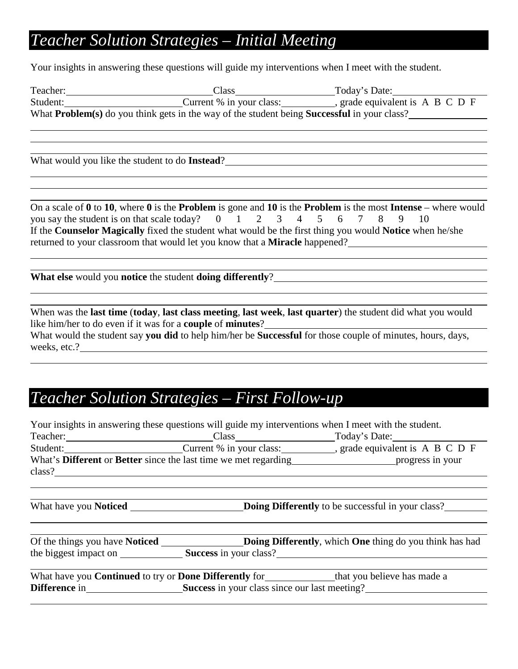## *Teacher Solution Strategies – Initial Meeting*

Your insights in answering these questions will guide my interventions when I meet with the student.

| Teacher: | Class                                                                                                      | Today's Date:                           |
|----------|------------------------------------------------------------------------------------------------------------|-----------------------------------------|
| Student: | Current % in your class:                                                                                   | grade equivalent is $A \ B \ C \ D \ F$ |
|          | What <b>Problem</b> (s) do you think gets in the way of the student being <b>Successful</b> in your class? |                                         |
|          |                                                                                                            |                                         |

What would you like the student to do **Instead**?

On a scale of **0** to **10**, where **0** is the **Problem** is gone and **10** is the **Problem** is the most **Intense** – where would you say the student is on that scale today?  $0 \t 1 \t 2 \t 3 \t 4 \t 5 \t 6 \t 7 \t 8 \t 9 \t 10$ If the **Counselor Magically** fixed the student what would be the first thing you would **Notice** when he/she returned to your classroom that would let you know that a **Miracle** happened?

**What else** would you **notice** the student **doing differently**?

When was the **last time** (**today**, **last class meeting**, **last week**, **last quarter**) the student did what you would like him/her to do even if it was for a **couple** of **minutes**? What would the student say **you did** to help him/her be **Successful** for those couple of minutes, hours, days, weeks, etc.?

## *Teacher Solution Strategies – First Follow-up*

| Your insights in answering these questions will guide my interventions when I meet with the student. |                                                                                                                                                                                                                                                                                                                                                       |
|------------------------------------------------------------------------------------------------------|-------------------------------------------------------------------------------------------------------------------------------------------------------------------------------------------------------------------------------------------------------------------------------------------------------------------------------------------------------|
|                                                                                                      |                                                                                                                                                                                                                                                                                                                                                       |
|                                                                                                      | Student: Current % in your class: _________, grade equivalent is A B C D F                                                                                                                                                                                                                                                                            |
|                                                                                                      | What's Different or Better since the last time we met regarding progress in your                                                                                                                                                                                                                                                                      |
|                                                                                                      |                                                                                                                                                                                                                                                                                                                                                       |
|                                                                                                      | <b>Doing Differently</b> to be successful in your class?                                                                                                                                                                                                                                                                                              |
|                                                                                                      | Of the things you have Noticed <b>Dollary Dollary</b> Doing Differently, which One thing do you think has had                                                                                                                                                                                                                                         |
|                                                                                                      | the biggest impact on Success in your class?                                                                                                                                                                                                                                                                                                          |
|                                                                                                      | What have you <b>Continued</b> to try or <b>Done Differently</b> for<br>that you believe has made a                                                                                                                                                                                                                                                   |
|                                                                                                      |                                                                                                                                                                                                                                                                                                                                                       |
|                                                                                                      | Teacher: Class Class Today's Date:<br>What have you <b>Noticed</b> <u>example and the set of the set of the set of the set of the set of the set of the set of the set of the set of the set of the set of the set of the set of the set of the set of the set of the set o</u><br><b>Difference</b> in Success in your class since our last meeting? |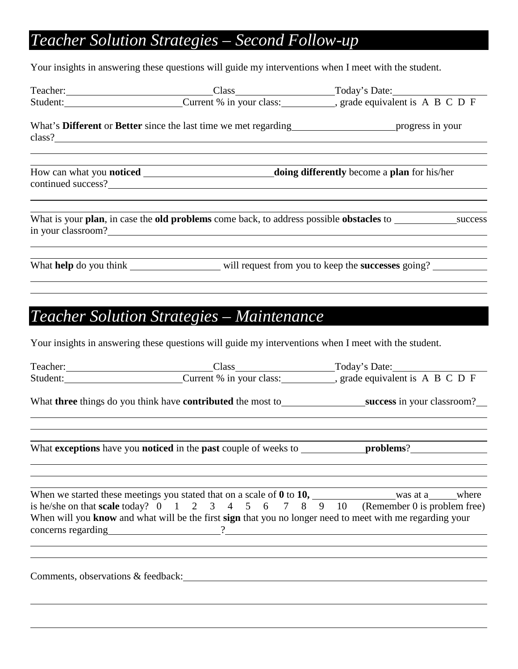# *Teacher Solution Strategies – Second Follow-up*

Your insights in answering these questions will guide my interventions when I meet with the student.

|          |                                                                                                             | Teacher: Class Class Today's Date:                                                              |
|----------|-------------------------------------------------------------------------------------------------------------|-------------------------------------------------------------------------------------------------|
|          |                                                                                                             | Student: Current % in your class: _________, grade equivalent is A B C D F                      |
|          | What's <b>Different</b> or <b>Better</b> since the last time we met regarding<br>progress in your<br>class? |                                                                                                 |
|          |                                                                                                             |                                                                                                 |
|          |                                                                                                             | What is your plan, in case the old problems come back, to address possible obstacles to success |
|          |                                                                                                             | What help do you think ___________________ will request from you to keep the successes going?   |
|          | <b>Teacher Solution Strategies - Maintenance</b>                                                            |                                                                                                 |
|          | Your insights in answering these questions will guide my interventions when I meet with the student.        |                                                                                                 |
| Teacher: | Class                                                                                                       | Today's Date:                                                                                   |

| Student: Current % in your class: __________, grade equivalent is A B C D F                                                                                                                                                                              |  |
|----------------------------------------------------------------------------------------------------------------------------------------------------------------------------------------------------------------------------------------------------------|--|
| What three things do you think have contributed the most to______________________success in your classroom?___                                                                                                                                           |  |
|                                                                                                                                                                                                                                                          |  |
| is he/she on that scale today? $0 \t 1 \t 2 \t 3 \t 4 \t 5 \t 6 \t 7 \t 8 \t 9 \t 10$ (Remember 0 is problem free)<br>When will you know and what will be the first sign that you no longer need to meet with me regarding your<br>concerns regarding 2. |  |
| Comments, observations & feedback:                                                                                                                                                                                                                       |  |